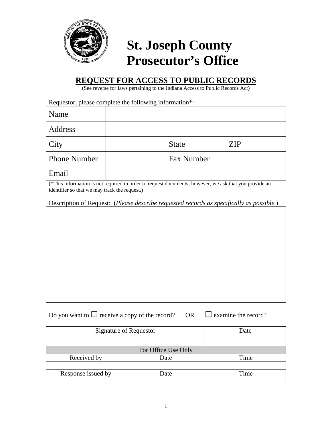

## **St. Joseph County Prosecutor's Office**

## **REQUEST FOR ACCESS TO PUBLIC RECORDS**

(See reverse for laws pertaining to the Indiana Access to Public Records Act)

Requestor, please complete the following information\*:

| Name                |              |            |            |  |
|---------------------|--------------|------------|------------|--|
| Address             |              |            |            |  |
| City                | <b>State</b> |            | <b>ZIP</b> |  |
| <b>Phone Number</b> |              | Fax Number |            |  |
| Email               |              |            |            |  |

(\*This information is not required in order to request documents; however, we ask that you provide an identifier so that we may track the request.)

Description of Request: (*Please describe requested records as specifically as possible.*)

Do you want to  $\Box$  receive a copy of the record? OR  $\Box$  examine the record?

| Signature of Requestor | Date |      |  |  |
|------------------------|------|------|--|--|
|                        |      |      |  |  |
| For Office Use Only    |      |      |  |  |
| Received by            | Date | Time |  |  |
|                        |      |      |  |  |
| Response issued by     | Date | Time |  |  |
|                        |      |      |  |  |